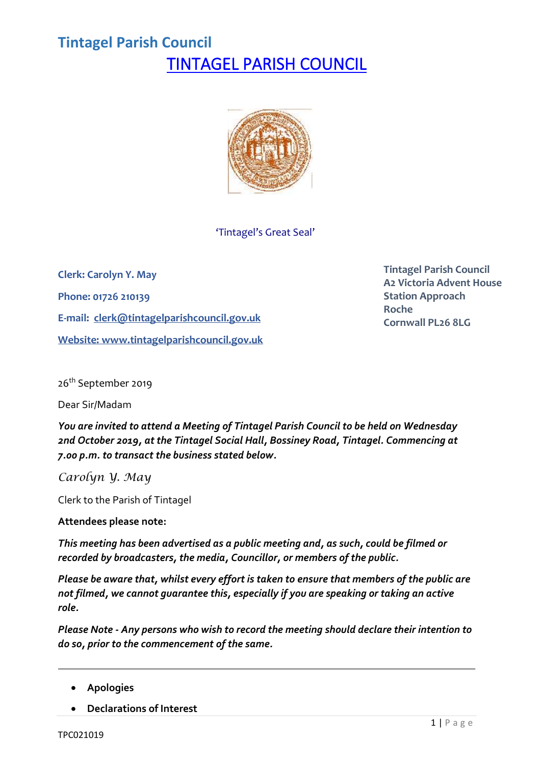### **Tintagel Parish Council** TINTAGEL PARISH COUNCIL



'Tintagel's Great Seal'

**Clerk: Carolyn Y. May Phone: 01726 210139 E-mail: [clerk@tintagelparishcouncil.gov.uk](mailto:clerk@tintagelparishcouncil.gov.uk) Website: [www.tintagelparishcouncil.gov.uk](http://www.tintagelparishcouncil.gov.uk/)** **Tintagel Parish Council A2 Victoria Advent House Station Approach Roche Cornwall PL26 8LG**

26<sup>th</sup> September 2019

Dear Sir/Madam

*You are invited to attend a Meeting of Tintagel Parish Council to be held on Wednesday 2nd October 2019, at the Tintagel Social Hall, Bossiney Road, Tintagel. Commencing at 7.00 p.m. to transact the business stated below.*

*Carolyn Y. May*

Clerk to the Parish of Tintagel

**Attendees please note:**

*This meeting has been advertised as a public meeting and, as such, could be filmed or recorded by broadcasters, the media, Councillor, or members of the public.*

*Please be aware that, whilst every effort is taken to ensure that members of the public are not filmed, we cannot guarantee this, especially if you are speaking or taking an active role.*

*Please Note - Any persons who wish to record the meeting should declare their intention to do so, prior to the commencement of the same.*

- **Apologies**
- **Declarations of Interest**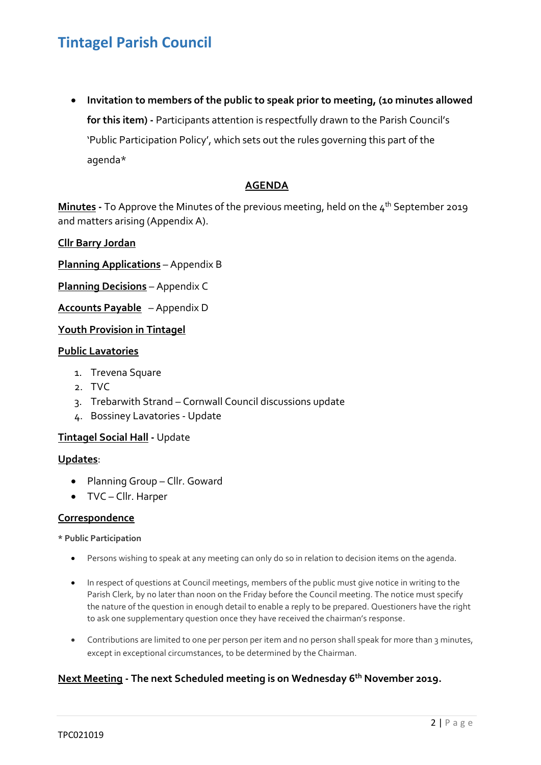• **Invitation to members of the public to speak prior to meeting, (10 minutes allowed for this item) -** Participants attention is respectfully drawn to the Parish Council's 'Public Participation Policy', which sets out the rules governing this part of the agenda\*

#### **AGENDA**

**Minutes -** To Approve the Minutes of the previous meeting, held on the 4 th September 2019 and matters arising (Appendix A).

#### **Cllr Barry Jordan**

**Planning Applications** – Appendix B

**Planning Decisions** – Appendix C

**Accounts Payable** – Appendix D

#### **Youth Provision in Tintagel**

#### **Public Lavatories**

- 1. Trevena Square
- 2. TVC
- 3. Trebarwith Strand Cornwall Council discussions update
- 4. Bossiney Lavatories Update

#### **Tintagel Social Hall -** Update

#### **Updates**:

- Planning Group Cllr. Goward
- TVC Cllr. Harper

#### **Correspondence**

**\* Public Participation**

- Persons wishing to speak at any meeting can only do so in relation to decision items on the agenda.
- In respect of questions at Council meetings, members of the public must give notice in writing to the Parish Clerk, by no later than noon on the Friday before the Council meeting. The notice must specify the nature of the question in enough detail to enable a reply to be prepared. Questioners have the right to ask one supplementary question once they have received the chairman's response.
- Contributions are limited to one per person per item and no person shall speak for more than 3 minutes, except in exceptional circumstances, to be determined by the Chairman.

#### **Next Meeting - The next Scheduled meeting is on Wednesday 6 th November 2019.**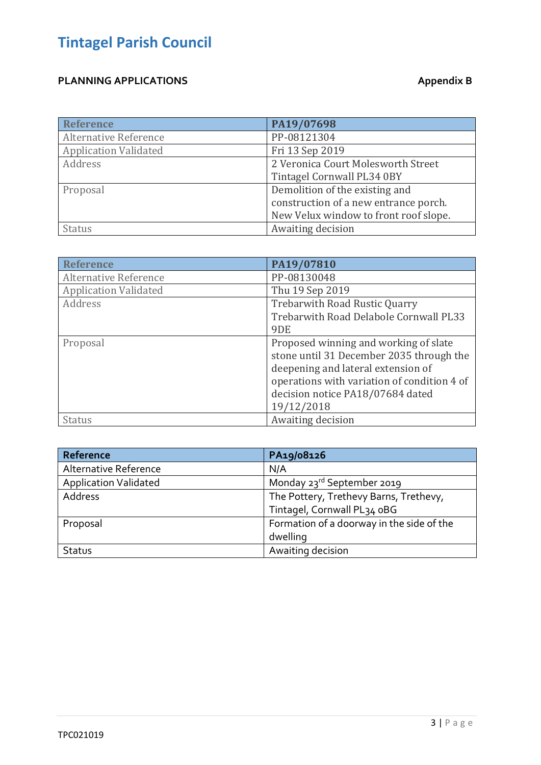### **PLANNING APPLICATIONS Appendix B**

| <b>Reference</b>             | PA19/07698                            |
|------------------------------|---------------------------------------|
| <b>Alternative Reference</b> | PP-08121304                           |
| <b>Application Validated</b> | Fri 13 Sep 2019                       |
| Address                      | 2 Veronica Court Molesworth Street    |
|                              | Tintagel Cornwall PL34 0BY            |
| Proposal                     | Demolition of the existing and        |
|                              | construction of a new entrance porch. |
|                              | New Velux window to front roof slope. |
| <b>Status</b>                | Awaiting decision                     |

| <b>Reference</b>             | PA19/07810                                                                                                                                                                                                               |
|------------------------------|--------------------------------------------------------------------------------------------------------------------------------------------------------------------------------------------------------------------------|
| <b>Alternative Reference</b> | PP-08130048                                                                                                                                                                                                              |
| <b>Application Validated</b> | Thu 19 Sep 2019                                                                                                                                                                                                          |
| Address                      | <b>Trebarwith Road Rustic Quarry</b>                                                                                                                                                                                     |
|                              | Trebarwith Road Delabole Cornwall PL33                                                                                                                                                                                   |
|                              | 9DE                                                                                                                                                                                                                      |
| Proposal                     | Proposed winning and working of slate<br>stone until 31 December 2035 through the<br>deepening and lateral extension of<br>operations with variation of condition 4 of<br>decision notice PA18/07684 dated<br>19/12/2018 |
| <b>Status</b>                | Awaiting decision                                                                                                                                                                                                        |

| Reference                    | PA19/08126                                |
|------------------------------|-------------------------------------------|
| Alternative Reference        | N/A                                       |
| <b>Application Validated</b> | Monday 23rd September 2019                |
| Address                      | The Pottery, Trethevy Barns, Trethevy,    |
|                              | Tintagel, Cornwall PL34 oBG               |
| Proposal                     | Formation of a doorway in the side of the |
|                              | dwelling                                  |
| Status                       | Awaiting decision                         |